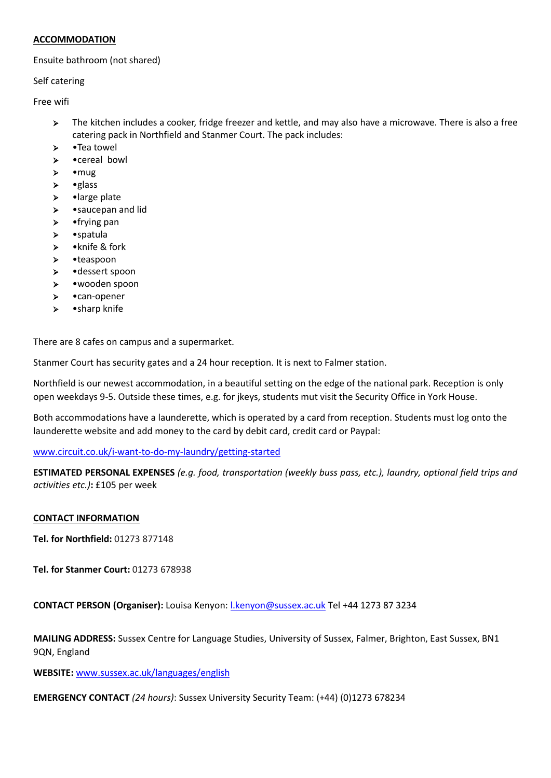## **ACCOMMODATION**

### Ensuite bathroom (not shared)

Self catering

Free wifi

- The kitchen includes a cooker, fridge freezer and kettle, and may also have a microwave. There is also a free catering pack in Northfield and Stanmer Court. The pack includes:
- > •Tea towel
- •cereal bowl
- $\triangleright$  mug
- $\triangleright$  •glass
- $\triangleright$  large plate
- > •saucepan and lid
- $\triangleright$  frying pan
- •spatula
- •knife & fork
- •teaspoon
- •dessert spoon
- •wooden spoon
- •can-opener
- •sharp knife

There are 8 cafes on campus and a supermarket.

Stanmer Court has security gates and a 24 hour reception. It is next to Falmer station.

Northfield is our newest accommodation, in a beautiful setting on the edge of the national park. Reception is only open weekdays 9-5. Outside these times, e.g. for jkeys, students mut visit the Security Office in York House.

Both accommodations have a launderette, which is operated by a card from reception. Students must log onto the launderette website and add money to the card by debit card, credit card or Paypal:

[www.circuit.co.uk/i-want-to-do-my-laundry/getting-started](http://www.circuit.co.uk/i-want-to-do-my-laundry/getting-started)

**ESTIMATED PERSONAL EXPENSES** *(e.g. food, transportation (weekly buss pass, etc.), laundry, optional field trips and activities etc.)***:** £105 per week

## **CONTACT INFORMATION**

**Tel. for Northfield:** 01273 877148

**Tel. for Stanmer Court:** 01273 678938

**CONTACT PERSON (Organiser):** Louisa Kenyon[: l.kenyon@sussex.ac.uk](mailto:l.kenyon@sussex.ac.uk) Tel +44 1273 87 3234

**MAILING ADDRESS:** Sussex Centre for Language Studies, University of Sussex, Falmer, Brighton, East Sussex, BN1 9QN, England

**WEBSITE:** [www.sussex.ac.uk/languages/english](http://www.sussex.ac.uk/languages/english)

**EMERGENCY CONTACT** *(24 hours)*: Sussex University Security Team: (+44) (0)1273 678234